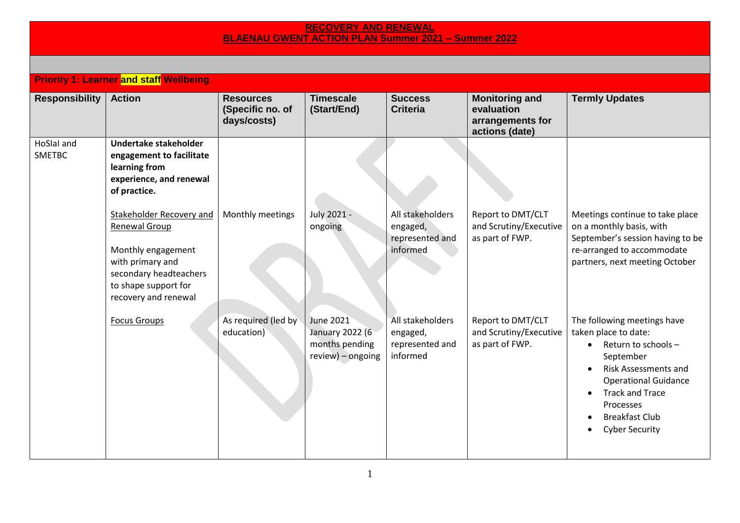## **RECOVERY AND RENEWAL BLAENAU GWENT ACTION PLAN Summer 2021 – Summer 2022**

|                             | <b>Priority 1: Learner and staff Wellbeing</b>                                                                                                                       |                                                     |                                                                     |                                                             |                                                                           |                                                                                                                                                                                                                                                             |
|-----------------------------|----------------------------------------------------------------------------------------------------------------------------------------------------------------------|-----------------------------------------------------|---------------------------------------------------------------------|-------------------------------------------------------------|---------------------------------------------------------------------------|-------------------------------------------------------------------------------------------------------------------------------------------------------------------------------------------------------------------------------------------------------------|
| <b>Responsibility</b>       | <b>Action</b>                                                                                                                                                        | <b>Resources</b><br>(Specific no. of<br>days/costs) | <b>Timescale</b><br>(Start/End)                                     | <b>Success</b><br><b>Criteria</b>                           | <b>Monitoring and</b><br>evaluation<br>arrangements for<br>actions (date) | <b>Termly Updates</b>                                                                                                                                                                                                                                       |
| HoSlal and<br><b>SMETBC</b> | Undertake stakeholder<br>engagement to facilitate<br>learning from<br>experience, and renewal<br>of practice.                                                        |                                                     |                                                                     |                                                             |                                                                           |                                                                                                                                                                                                                                                             |
|                             | Stakeholder Recovery and<br><b>Renewal Group</b><br>Monthly engagement<br>with primary and<br>secondary headteachers<br>to shape support for<br>recovery and renewal | Monthly meetings                                    | July 2021 -<br>ongoing                                              | All stakeholders<br>engaged,<br>represented and<br>informed | Report to DMT/CLT<br>and Scrutiny/Executive<br>as part of FWP.            | Meetings continue to take place<br>on a monthly basis, with<br>September's session having to be<br>re-arranged to accommodate<br>partners, next meeting October                                                                                             |
|                             | <b>Focus Groups</b>                                                                                                                                                  | As required (led by<br>education)                   | June 2021<br>January 2022 (6<br>months pending<br>review) - ongoing | All stakeholders<br>engaged,<br>represented and<br>informed | Report to DMT/CLT<br>and Scrutiny/Executive<br>as part of FWP.            | The following meetings have<br>taken place to date:<br>Return to schools -<br>September<br><b>Risk Assessments and</b><br><b>Operational Guidance</b><br><b>Track and Trace</b><br>$\bullet$<br>Processes<br><b>Breakfast Club</b><br><b>Cyber Security</b> |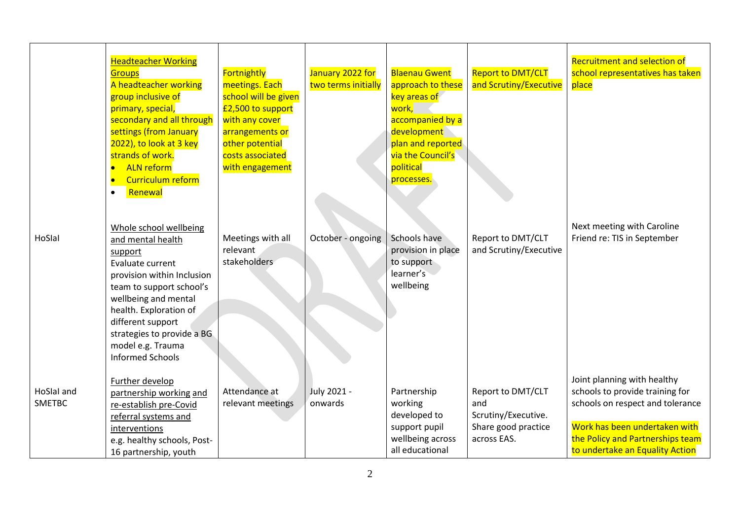|                             | <b>Headteacher Working</b><br><b>Groups</b><br>A headteacher working<br>group inclusive of<br>primary, special,<br>secondary and all through<br>settings (from January<br>2022), to look at 3 key<br>strands of work.<br><b>ALN</b> reform<br>Curriculum reform<br>$\bullet$<br>Renewal<br>$\bullet$ | Fortnightly<br>meetings. Each<br>school will be given<br>£2,500 to support<br>with any cover<br>arrangements or<br>other potential<br>costs associated<br>with engagement | January 2022 for<br>two terms initially | <b>Blaenau Gwent</b><br>approach to these<br>key areas of<br><mark>work,</mark><br>accompanied by a<br>development<br>plan and reported<br>via the Council's<br>political<br>processes. | <b>Report to DMT/CLT</b><br>and Scrutiny/Executive                                    | <b>Recruitment and selection of</b><br>school representatives has taken<br>place                                                                                                                           |
|-----------------------------|------------------------------------------------------------------------------------------------------------------------------------------------------------------------------------------------------------------------------------------------------------------------------------------------------|---------------------------------------------------------------------------------------------------------------------------------------------------------------------------|-----------------------------------------|-----------------------------------------------------------------------------------------------------------------------------------------------------------------------------------------|---------------------------------------------------------------------------------------|------------------------------------------------------------------------------------------------------------------------------------------------------------------------------------------------------------|
| HoSlal                      | Whole school wellbeing<br>and mental health<br>support<br>Evaluate current<br>provision within Inclusion<br>team to support school's<br>wellbeing and mental<br>health. Exploration of<br>different support<br>strategies to provide a BG<br>model e.g. Trauma<br><b>Informed Schools</b>            | Meetings with all<br>relevant<br>stakeholders                                                                                                                             | October - ongoing                       | Schools have<br>provision in place<br>to support<br>learner's<br>wellbeing                                                                                                              | Report to DMT/CLT<br>and Scrutiny/Executive                                           | Next meeting with Caroline<br>Friend re: TIS in September                                                                                                                                                  |
| HoSlal and<br><b>SMETBC</b> | Further develop<br>partnership working and<br>re-establish pre-Covid<br>referral systems and<br>interventions<br>e.g. healthy schools, Post-<br>16 partnership, youth                                                                                                                                | Attendance at<br>relevant meetings                                                                                                                                        | July 2021 -<br>onwards                  | Partnership<br>working<br>developed to<br>support pupil<br>wellbeing across<br>all educational                                                                                          | Report to DMT/CLT<br>and<br>Scrutiny/Executive.<br>Share good practice<br>across EAS. | Joint planning with healthy<br>schools to provide training for<br>schools on respect and tolerance<br>Work has been undertaken with<br>the Policy and Partnerships team<br>to undertake an Equality Action |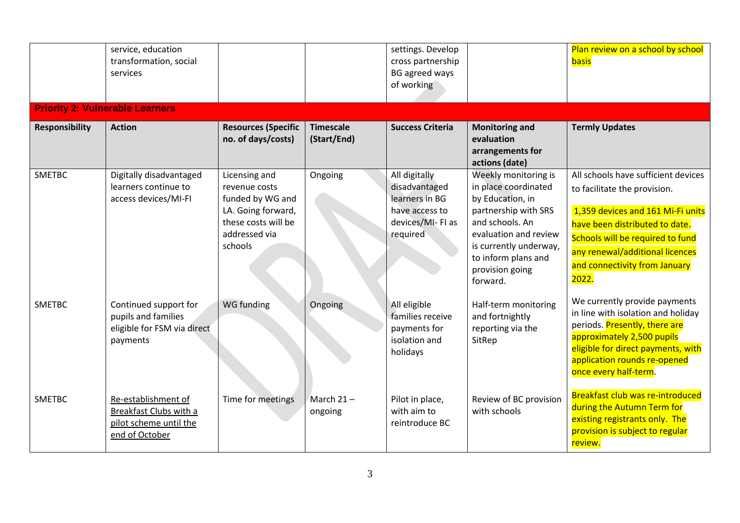|                       | service, education<br>transformation, social<br>services                                  |                                                                                                                             |                                 | settings. Develop<br>cross partnership<br><b>BG</b> agreed ways<br>of working                      |                                                                                                                                                                                                                      | Plan review on a school by school<br>basis                                                                                                                                                                                                                  |
|-----------------------|-------------------------------------------------------------------------------------------|-----------------------------------------------------------------------------------------------------------------------------|---------------------------------|----------------------------------------------------------------------------------------------------|----------------------------------------------------------------------------------------------------------------------------------------------------------------------------------------------------------------------|-------------------------------------------------------------------------------------------------------------------------------------------------------------------------------------------------------------------------------------------------------------|
|                       | <b>Priority 2: Vulnerable Learners</b>                                                    |                                                                                                                             |                                 |                                                                                                    |                                                                                                                                                                                                                      |                                                                                                                                                                                                                                                             |
| <b>Responsibility</b> | <b>Action</b>                                                                             | <b>Resources (Specific</b><br>no. of days/costs)                                                                            | <b>Timescale</b><br>(Start/End) | <b>Success Criteria</b>                                                                            | <b>Monitoring and</b><br>evaluation<br>arrangements for<br>actions (date)                                                                                                                                            | <b>Termly Updates</b>                                                                                                                                                                                                                                       |
| <b>SMETBC</b>         | Digitally disadvantaged<br>learners continue to<br>access devices/MI-FI                   | Licensing and<br>revenue costs<br>funded by WG and<br>LA. Going forward,<br>these costs will be<br>addressed via<br>schools | Ongoing                         | All digitally<br>disadvantaged<br>learners in BG<br>have access to<br>devices/MI-FI as<br>required | Weekly monitoring is<br>in place coordinated<br>by Education, in<br>partnership with SRS<br>and schools. An<br>evaluation and review<br>is currently underway,<br>to inform plans and<br>provision going<br>forward. | All schools have sufficient devices<br>to facilitate the provision.<br>1,359 devices and 161 Mi-Fi units<br>have been distributed to date.<br>Schools will be required to fund<br>any renewal/additional licences<br>and connectivity from January<br>2022. |
| <b>SMETBC</b>         | Continued support for<br>pupils and families<br>eligible for FSM via direct<br>payments   | WG funding                                                                                                                  | Ongoing                         | All eligible<br>families receive<br>payments for<br>isolation and<br>holidays                      | Half-term monitoring<br>and fortnightly<br>reporting via the<br>SitRep                                                                                                                                               | We currently provide payments<br>in line with isolation and holiday<br>periods. Presently, there are<br>approximately 2,500 pupils<br>eligible for direct payments, with<br>application rounds re-opened<br>once every half-term.                           |
| <b>SMETBC</b>         | Re-establishment of<br>Breakfast Clubs with a<br>pilot scheme until the<br>end of October | Time for meetings                                                                                                           | March $21 -$<br>ongoing         | Pilot in place,<br>with aim to<br>reintroduce BC                                                   | Review of BC provision<br>with schools                                                                                                                                                                               | Breakfast club was re-introduced<br>during the Autumn Term for<br>existing registrants only. The<br>provision is subject to regular<br>review.                                                                                                              |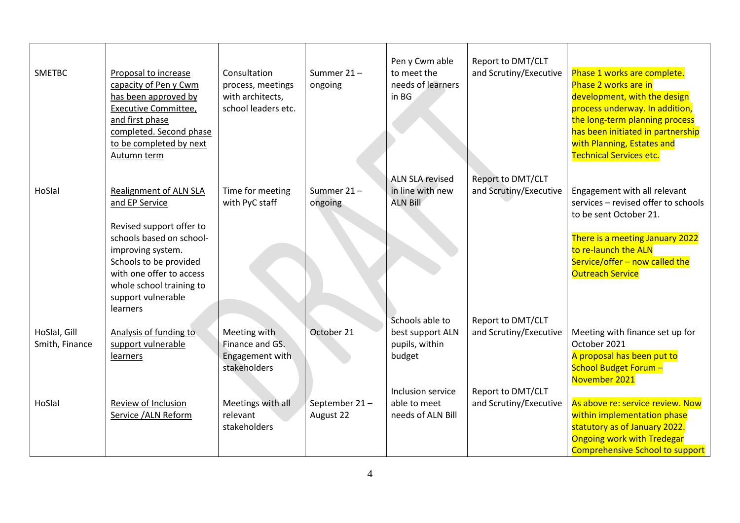| <b>SMETBC</b>  | Proposal to increase<br>capacity of Pen y Cwm<br>has been approved by<br>Executive Committee,<br>and first phase<br>completed. Second phase<br>to be completed by next<br>Autumn term | Consultation<br>process, meetings<br>with architects,<br>school leaders etc. | Summer $21 -$<br>ongoing | Pen y Cwm able<br>to meet the<br>needs of learners<br>in BG | Report to DMT/CLT<br>and Scrutiny/Executive | Phase 1 works are complete.<br>Phase 2 works are in<br>development, with the design<br>process underway. In addition,<br>the long-term planning process<br>has been initiated in partnership<br>with Planning, Estates and<br><b>Technical Services etc.</b> |
|----------------|---------------------------------------------------------------------------------------------------------------------------------------------------------------------------------------|------------------------------------------------------------------------------|--------------------------|-------------------------------------------------------------|---------------------------------------------|--------------------------------------------------------------------------------------------------------------------------------------------------------------------------------------------------------------------------------------------------------------|
|                |                                                                                                                                                                                       |                                                                              |                          | <b>ALN SLA revised</b>                                      | Report to DMT/CLT                           |                                                                                                                                                                                                                                                              |
| HoSlal         | <b>Realignment of ALN SLA</b><br>and EP Service                                                                                                                                       | Time for meeting<br>with PyC staff                                           | Summer $21 -$<br>ongoing | in line with new<br><b>ALN Bill</b>                         | and Scrutiny/Executive                      | Engagement with all relevant<br>services - revised offer to schools<br>to be sent October 21.                                                                                                                                                                |
|                | Revised support offer to<br>schools based on school-<br>improving system.                                                                                                             |                                                                              |                          |                                                             |                                             | There is a meeting January 2022<br>to re-launch the ALN                                                                                                                                                                                                      |
|                | Schools to be provided<br>with one offer to access                                                                                                                                    |                                                                              |                          |                                                             |                                             | Service/offer - now called the<br><b>Outreach Service</b>                                                                                                                                                                                                    |
|                | whole school training to<br>support vulnerable<br>learners                                                                                                                            |                                                                              |                          |                                                             |                                             |                                                                                                                                                                                                                                                              |
|                |                                                                                                                                                                                       |                                                                              |                          | Schools able to                                             | Report to DMT/CLT                           |                                                                                                                                                                                                                                                              |
| HoSlal, Gill   | Analysis of funding to                                                                                                                                                                | Meeting with                                                                 | October 21               | best support ALN                                            | and Scrutiny/Executive                      | Meeting with finance set up for                                                                                                                                                                                                                              |
| Smith, Finance | support vulnerable                                                                                                                                                                    | Finance and GS.                                                              |                          | pupils, within                                              |                                             | October 2021                                                                                                                                                                                                                                                 |
|                | <b>learners</b>                                                                                                                                                                       | Engagement with                                                              |                          | budget                                                      |                                             | A proposal has been put to                                                                                                                                                                                                                                   |
|                |                                                                                                                                                                                       | stakeholders                                                                 |                          |                                                             |                                             | School Budget Forum -<br>November 2021                                                                                                                                                                                                                       |
|                |                                                                                                                                                                                       |                                                                              |                          | Inclusion service                                           | Report to DMT/CLT                           |                                                                                                                                                                                                                                                              |
| HoSlal         | Review of Inclusion                                                                                                                                                                   | Meetings with all                                                            | September 21-            | able to meet                                                | and Scrutiny/Executive                      | As above re: service review. Now                                                                                                                                                                                                                             |
|                | Service /ALN Reform                                                                                                                                                                   | relevant                                                                     | August 22                | needs of ALN Bill                                           |                                             | within implementation phase                                                                                                                                                                                                                                  |
|                |                                                                                                                                                                                       | stakeholders                                                                 |                          |                                                             |                                             | statutory as of January 2022.                                                                                                                                                                                                                                |
|                |                                                                                                                                                                                       |                                                                              |                          |                                                             |                                             | <b>Ongoing work with Tredegar</b>                                                                                                                                                                                                                            |
|                |                                                                                                                                                                                       |                                                                              |                          |                                                             |                                             | <b>Comprehensive School to support</b>                                                                                                                                                                                                                       |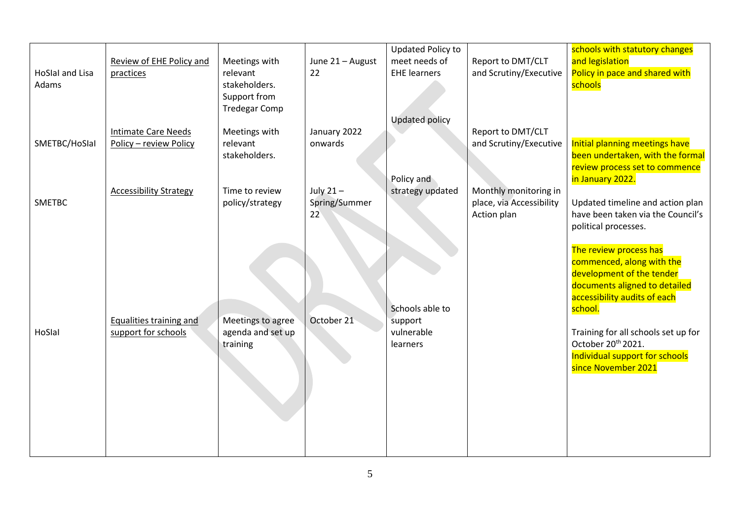| <b>HoSlal and Lisa</b><br>Adams | Review of EHE Policy and<br>practices                 | Meetings with<br>relevant<br>stakeholders.<br>Support from<br><b>Tredegar Comp</b> | June 21 - August<br>22             | <b>Updated Policy to</b><br>meet needs of<br><b>EHE learners</b><br><b>Updated policy</b> | Report to DMT/CLT<br>and Scrutiny/Executive                      | schools with statutory changes<br>and legislation<br>Policy in pace and shared with<br>schools                                                                                                                                                                                                 |
|---------------------------------|-------------------------------------------------------|------------------------------------------------------------------------------------|------------------------------------|-------------------------------------------------------------------------------------------|------------------------------------------------------------------|------------------------------------------------------------------------------------------------------------------------------------------------------------------------------------------------------------------------------------------------------------------------------------------------|
| SMETBC/HoSlal                   | <b>Intimate Care Needs</b><br>Policy - review Policy  | Meetings with<br>relevant<br>stakeholders.                                         | January 2022<br>onwards            |                                                                                           | Report to DMT/CLT<br>and Scrutiny/Executive                      | Initial planning meetings have<br>been undertaken, with the formal<br>review process set to commence                                                                                                                                                                                           |
| <b>SMETBC</b>                   | <b>Accessibility Strategy</b>                         | Time to review<br>policy/strategy                                                  | July $21 -$<br>Spring/Summer<br>22 | Policy and<br>strategy updated                                                            | Monthly monitoring in<br>place, via Accessibility<br>Action plan | in January 2022.<br>Updated timeline and action plan<br>have been taken via the Council's<br>political processes.                                                                                                                                                                              |
| HoSlal                          | <b>Equalities training and</b><br>support for schools | Meetings to agree<br>agenda and set up<br>training                                 | October 21                         | Schools able to<br>support<br>vulnerable<br>learners                                      |                                                                  | The review process has<br>commenced, along with the<br>development of the tender<br>documents aligned to detailed<br>accessibility audits of each<br>school.<br>Training for all schools set up for<br>October 20 <sup>th</sup> 2021.<br>Individual support for schools<br>since November 2021 |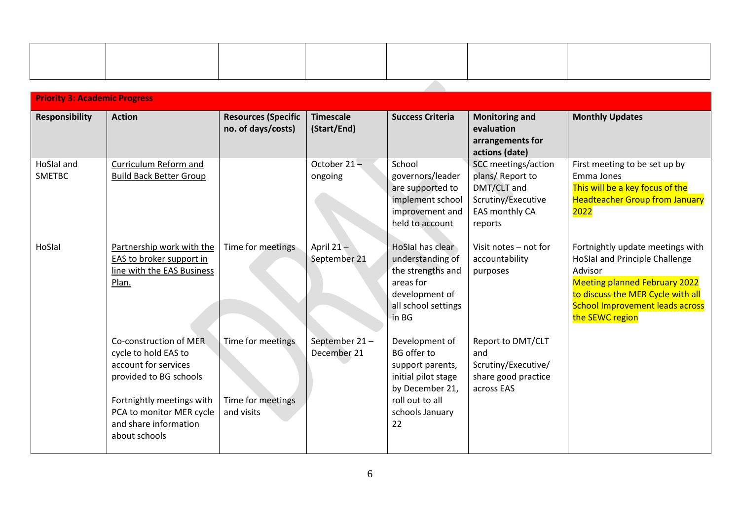| <b>Priority 3: Academic Progress</b> |                                                                                                                                                                                                     |                                                      |                                 |                                                                                                                                                |                                                                                                          |                                                                                                                                                                                                                         |
|--------------------------------------|-----------------------------------------------------------------------------------------------------------------------------------------------------------------------------------------------------|------------------------------------------------------|---------------------------------|------------------------------------------------------------------------------------------------------------------------------------------------|----------------------------------------------------------------------------------------------------------|-------------------------------------------------------------------------------------------------------------------------------------------------------------------------------------------------------------------------|
| <b>Responsibility</b>                | <b>Action</b>                                                                                                                                                                                       | <b>Resources (Specific</b><br>no. of days/costs)     | <b>Timescale</b><br>(Start/End) | <b>Success Criteria</b>                                                                                                                        | <b>Monitoring and</b><br>evaluation<br>arrangements for<br>actions (date)                                | <b>Monthly Updates</b>                                                                                                                                                                                                  |
| HoSlal and<br><b>SMETBC</b>          | Curriculum Reform and<br><b>Build Back Better Group</b>                                                                                                                                             |                                                      | October $21 -$<br>ongoing       | School<br>governors/leader<br>are supported to<br>implement school<br>improvement and<br>held to account                                       | SCC meetings/action<br>plans/Report to<br>DMT/CLT and<br>Scrutiny/Executive<br>EAS monthly CA<br>reports | First meeting to be set up by<br>Emma Jones<br>This will be a key focus of the<br><b>Headteacher Group from January</b><br>2022                                                                                         |
| HoSlal                               | Partnership work with the<br>EAS to broker support in<br>line with the EAS Business<br>Plan.                                                                                                        | Time for meetings                                    | April $21-$<br>September 21     | HoSlal has clear<br>understanding of<br>the strengths and<br>areas for<br>development of<br>all school settings<br>in BG                       | Visit notes - not for<br>accountability<br>purposes                                                      | Fortnightly update meetings with<br>HoSlal and Principle Challenge<br>Advisor<br><b>Meeting planned February 2022</b><br>to discuss the MER Cycle with all<br><b>School Improvement leads across</b><br>the SEWC region |
|                                      | Co-construction of MER<br>cycle to hold EAS to<br>account for services<br>provided to BG schools<br>Fortnightly meetings with<br>PCA to monitor MER cycle<br>and share information<br>about schools | Time for meetings<br>Time for meetings<br>and visits | September 21-<br>December 21    | Development of<br><b>BG</b> offer to<br>support parents,<br>initial pilot stage<br>by December 21,<br>roll out to all<br>schools January<br>22 | Report to DMT/CLT<br>and<br>Scrutiny/Executive/<br>share good practice<br>across EAS                     |                                                                                                                                                                                                                         |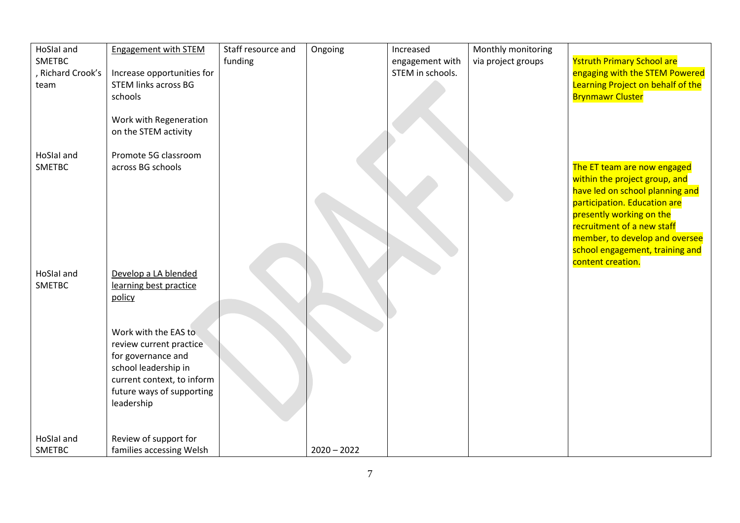| HoSlal and<br><b>SMETBC</b><br>Richard Crook's<br>team | Engagement with STEM<br>Increase opportunities for<br><b>STEM links across BG</b><br>schools                                                                           | Staff resource and<br>funding | Ongoing       | Increased<br>engagement with<br>STEM in schools. | Monthly monitoring<br>via project groups | <b>Ystruth Primary School are</b><br>engaging with the STEM Powered<br>Learning Project on behalf of the<br><b>Brynmawr Cluster</b>                                                                                             |
|--------------------------------------------------------|------------------------------------------------------------------------------------------------------------------------------------------------------------------------|-------------------------------|---------------|--------------------------------------------------|------------------------------------------|---------------------------------------------------------------------------------------------------------------------------------------------------------------------------------------------------------------------------------|
| HoSlal and<br><b>SMETBC</b>                            | Work with Regeneration<br>on the STEM activity<br>Promote 5G classroom<br>across BG schools                                                                            |                               |               |                                                  |                                          | The ET team are now engaged                                                                                                                                                                                                     |
|                                                        |                                                                                                                                                                        |                               |               |                                                  |                                          | within the project group, and<br>have led on school planning and<br>participation. Education are<br>presently working on the<br>recruitment of a new staff<br>member, to develop and oversee<br>school engagement, training and |
| HoSlal and<br><b>SMETBC</b>                            | Develop a LA blended<br>learning best practice<br>policy                                                                                                               |                               |               |                                                  |                                          | content creation.                                                                                                                                                                                                               |
|                                                        | Work with the EAS to<br>review current practice<br>for governance and<br>school leadership in<br>current context, to inform<br>future ways of supporting<br>leadership |                               |               |                                                  |                                          |                                                                                                                                                                                                                                 |
| HoSlal and<br><b>SMETBC</b>                            | Review of support for<br>families accessing Welsh                                                                                                                      |                               | $2020 - 2022$ |                                                  |                                          |                                                                                                                                                                                                                                 |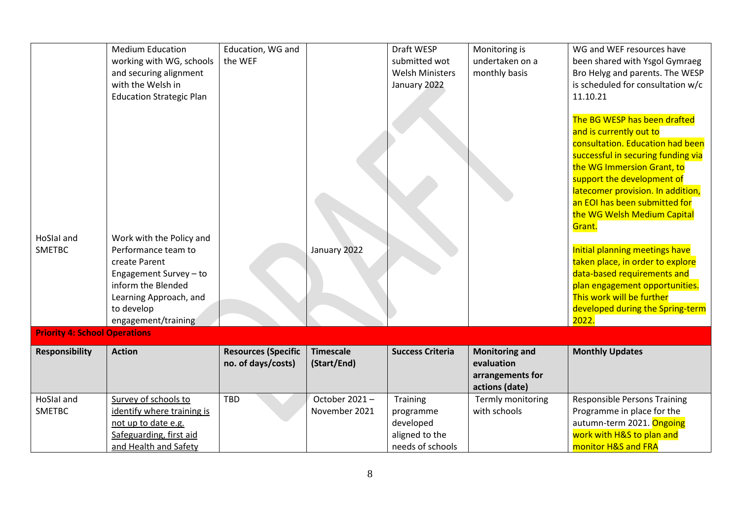| HoSlal and<br><b>SMETBC</b>          | <b>Medium Education</b><br>working with WG, schools<br>and securing alignment<br>with the Welsh in<br><b>Education Strategic Plan</b><br>Work with the Policy and<br>Performance team to<br>create Parent<br>Engagement Survey - to<br>inform the Blended<br>Learning Approach, and<br>to develop<br>engagement/training | Education, WG and<br>the WEF                     | January 2022                    | Draft WESP<br>submitted wot<br><b>Welsh Ministers</b><br>January 2022    | Monitoring is<br>undertaken on a<br>monthly basis                         | WG and WEF resources have<br>been shared with Ysgol Gymraeg<br>Bro Helyg and parents. The WESP<br>is scheduled for consultation w/c<br>11.10.21<br>The BG WESP has been drafted<br>and is currently out to<br>consultation. Education had been<br>successful in securing funding via<br>the WG Immersion Grant, to<br>support the development of<br>latecomer provision. In addition,<br>an EOI has been submitted for<br>the WG Welsh Medium Capital<br>Grant.<br>Initial planning meetings have<br>taken place, in order to explore<br>data-based requirements and<br>plan engagement opportunities.<br>This work will be further<br>developed during the Spring-term<br>2022. |
|--------------------------------------|--------------------------------------------------------------------------------------------------------------------------------------------------------------------------------------------------------------------------------------------------------------------------------------------------------------------------|--------------------------------------------------|---------------------------------|--------------------------------------------------------------------------|---------------------------------------------------------------------------|----------------------------------------------------------------------------------------------------------------------------------------------------------------------------------------------------------------------------------------------------------------------------------------------------------------------------------------------------------------------------------------------------------------------------------------------------------------------------------------------------------------------------------------------------------------------------------------------------------------------------------------------------------------------------------|
| <b>Priority 4: School Operations</b> |                                                                                                                                                                                                                                                                                                                          |                                                  |                                 |                                                                          |                                                                           |                                                                                                                                                                                                                                                                                                                                                                                                                                                                                                                                                                                                                                                                                  |
| <b>Responsibility</b>                | <b>Action</b>                                                                                                                                                                                                                                                                                                            | <b>Resources (Specific</b><br>no. of days/costs) | <b>Timescale</b><br>(Start/End) | <b>Success Criteria</b>                                                  | <b>Monitoring and</b><br>evaluation<br>arrangements for<br>actions (date) | <b>Monthly Updates</b>                                                                                                                                                                                                                                                                                                                                                                                                                                                                                                                                                                                                                                                           |
| HoSlal and<br><b>SMETBC</b>          | Survey of schools to<br>identify where training is<br>not up to date e.g.<br>Safeguarding, first aid<br>and Health and Safety                                                                                                                                                                                            | TBD                                              | October 2021-<br>November 2021  | Training<br>programme<br>developed<br>aligned to the<br>needs of schools | Termly monitoring<br>with schools                                         | <b>Responsible Persons Training</b><br>Programme in place for the<br>autumn-term 2021. Ongoing<br>work with H&S to plan and<br>monitor H&S and FRA                                                                                                                                                                                                                                                                                                                                                                                                                                                                                                                               |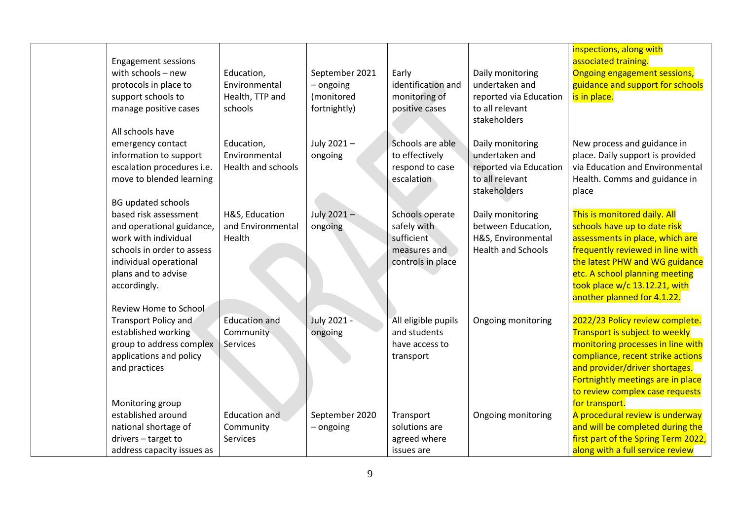| <b>Engagement sessions</b><br>with schools $-$ new<br>protocols in place to<br>support schools to<br>manage positive cases<br>All schools have                            | Education,<br>Environmental<br>Health, TTP and<br>schools | September 2021<br>- ongoing<br>(monitored<br>fortnightly) | Early<br>identification and<br>monitoring of<br>positive cases                    | Daily monitoring<br>undertaken and<br>reported via Education<br>to all relevant<br>stakeholders | inspections, along with<br>associated training.<br>Ongoing engagement sessions,<br>guidance and support for schools<br>is in place.                                                                                                                                     |
|---------------------------------------------------------------------------------------------------------------------------------------------------------------------------|-----------------------------------------------------------|-----------------------------------------------------------|-----------------------------------------------------------------------------------|-------------------------------------------------------------------------------------------------|-------------------------------------------------------------------------------------------------------------------------------------------------------------------------------------------------------------------------------------------------------------------------|
| emergency contact<br>information to support<br>escalation procedures i.e.<br>move to blended learning<br><b>BG updated schools</b>                                        | Education,<br>Environmental<br><b>Health and schools</b>  | July 2021-<br>ongoing                                     | Schools are able<br>to effectively<br>respond to case<br>escalation               | Daily monitoring<br>undertaken and<br>reported via Education<br>to all relevant<br>stakeholders | New process and guidance in<br>place. Daily support is provided<br>via Education and Environmental<br>Health. Comms and guidance in<br>place                                                                                                                            |
| based risk assessment<br>and operational guidance,<br>work with individual<br>schools in order to assess<br>individual operational<br>plans and to advise<br>accordingly. | H&S, Education<br>and Environmental<br>Health             | July 2021-<br>ongoing                                     | Schools operate<br>safely with<br>sufficient<br>measures and<br>controls in place | Daily monitoring<br>between Education,<br>H&S, Environmental<br><b>Health and Schools</b>       | This is monitored daily. All<br>schools have up to date risk<br>assessments in place, which are<br>frequently reviewed in line with<br>the latest PHW and WG guidance<br>etc. A school planning meeting<br>took place w/c 13.12.21, with<br>another planned for 4.1.22. |
| Review Home to School<br><b>Transport Policy and</b><br>established working<br>group to address complex<br>applications and policy<br>and practices                       | <b>Education and</b><br>Community<br>Services             | July 2021 -<br>ongoing                                    | All eligible pupils<br>and students<br>have access to<br>transport                | Ongoing monitoring                                                                              | 2022/23 Policy review complete.<br>Transport is subject to weekly<br>monitoring processes in line with<br>compliance, recent strike actions<br>and provider/driver shortages.<br>Fortnightly meetings are in place<br>to review complex case requests                   |
| Monitoring group<br>established around<br>national shortage of<br>drivers - target to<br>address capacity issues as                                                       | <b>Education and</b><br>Community<br><b>Services</b>      | September 2020<br>- ongoing                               | Transport<br>solutions are<br>agreed where<br>issues are                          | Ongoing monitoring                                                                              | for transport.<br>A procedural review is underway<br>and will be completed during the<br>first part of the Spring Term 2022,<br>along with a full service review                                                                                                        |